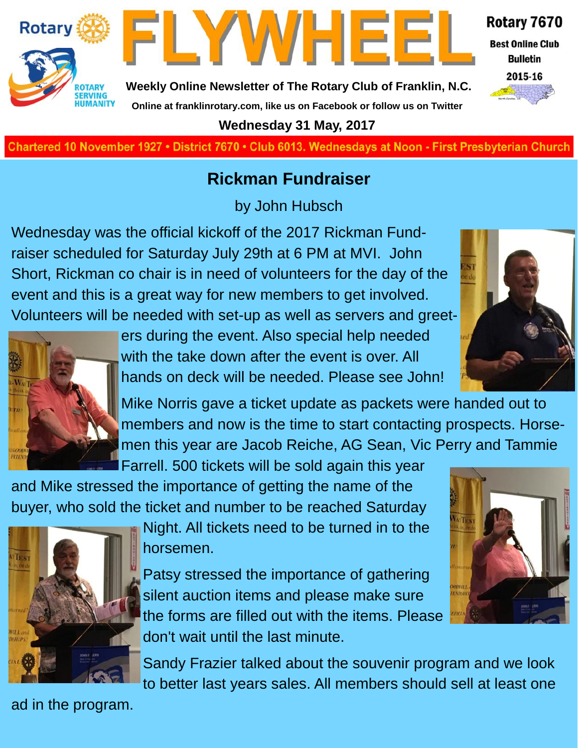

**Best Online Club Bulletin** 



**Weekly Online Newsletter of The Rotary Club of Franklin, N.C. Online at franklinrotary.com, like us on Facebook or follow us on Twitter**

FLYWHEEI

#### **Wednesday 31 May, 2017**

**Charted November 29, 1927 • District 7670 • Club 6013 Wednesdays at Noon - First Presbyterian Church**

#### **Rickman Fundraiser**

by John Hubsch

Wednesday was the official kickoff of the 2017 Rickman Fundraiser scheduled for Saturday July 29th at 6 PM at MVI. John Short, Rickman co chair is in need of volunteers for the day of the event and this is a great way for new members to get involved. Volunteers will be needed with set-up as well as servers and greet-



**Rotary** 

**OTARY SERVING<br>HUMANITY** 

> ers during the event. Also special help needed with the take down after the event is over. All hands on deck will be needed. Please see John!

Mike Norris gave a ticket update as packets were handed out to members and now is the time to start contacting prospects. Horsemen this year are Jacob Reiche, AG Sean, Vic Perry and Tammie Farrell. 500 tickets will be sold again this year

and Mike stressed the importance of getting the name of the buyer, who sold the ticket and number to be reached Saturday



Night. All tickets need to be turned in to the horsemen.

Patsy stressed the importance of gathering silent auction items and please make sure the forms are filled out with the items. Please don't wait until the last minute.

Sandy Frazier talked about the souvenir program and we look to better last years sales. All members should sell at least one

ad in the program.

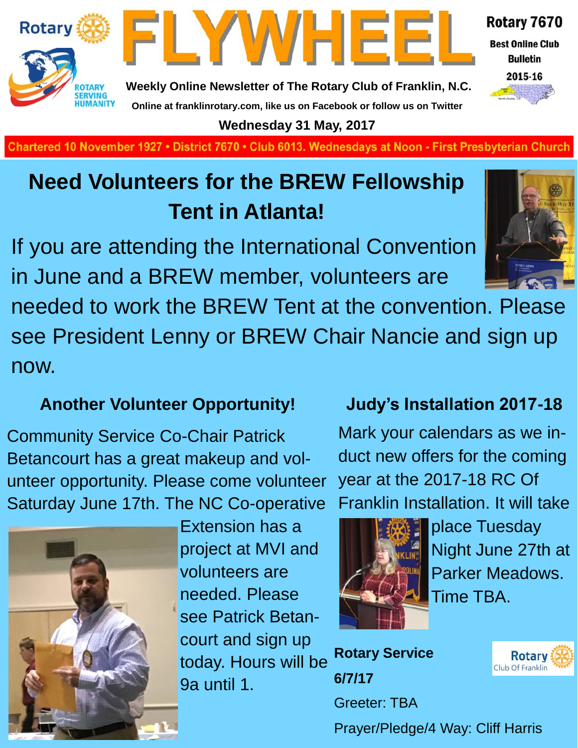



**Weekly Online Newsletter of The Rotary Club of Franklin, N.C. Online at franklinrotary.com, like us on Facebook or follow us on Twitter**

**Wednesday 31 May, 2017**

Chartered 10 November 1927 • District 7670 • Club 6013. Wednesdays at Noon - First Presbyterian Church

## **Need Volunteers for the BREW Fellowship Tent in Atlanta!**

If you are attending the International Convention in June and a BREW member, volunteers are

needed to work the BREW Tent at the convention. Please see President Lenny or BREW Chair Nancie and sign up now.

## **Another Volunteer Opportunity!**

Community Service Co-Chair Patrick Betancourt has a great makeup and volunteer opportunity. Please come volunteer Saturday June 17th. The NC Co-operative



Extension has a project at MVI and volunteers are needed. Please see Patrick Betancourt and sign up today. Hours will be 9a until 1.

**Judy's Installation 2017-18**

Mark your calendars as we induct new offers for the coming year at the 2017-18 RC Of Franklin Installation. It will take



place Tuesday Night June 27th at Parker Meadows. Time TBA.

**Rotary Service 6/7/17** Greeter: TBA Prayer/Pledge/4 Way: Cliff Harris



#### Rotary 7670 **Best Online Club**

**Bulletin** 

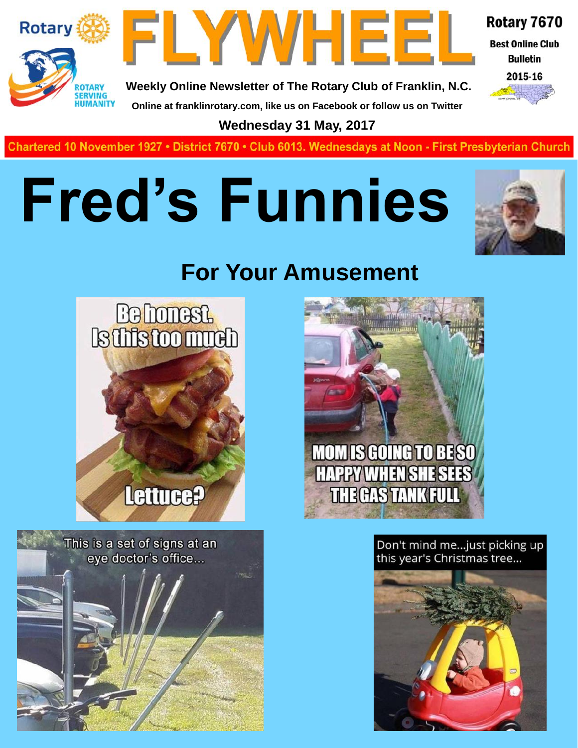



Rotary 7670

**Best Online Club Bulletin** 



**Weekly Online Newsletter of The Rotary Club of Franklin, N.C. Online at franklinrotary.com, like us on Facebook or follow us on Twitter**

**Wednesday 31 May, 2017**

**Charted November 29, 1927 • District 7670 • Club 6013 Wednesdays at Noon - First Presbyterian Church**

## **Fred's Funnies**



## **For Your Amusement**



This is a set of signs at an eye doctor's office...



Don't mind me...just picking up this year's Christmas tree...

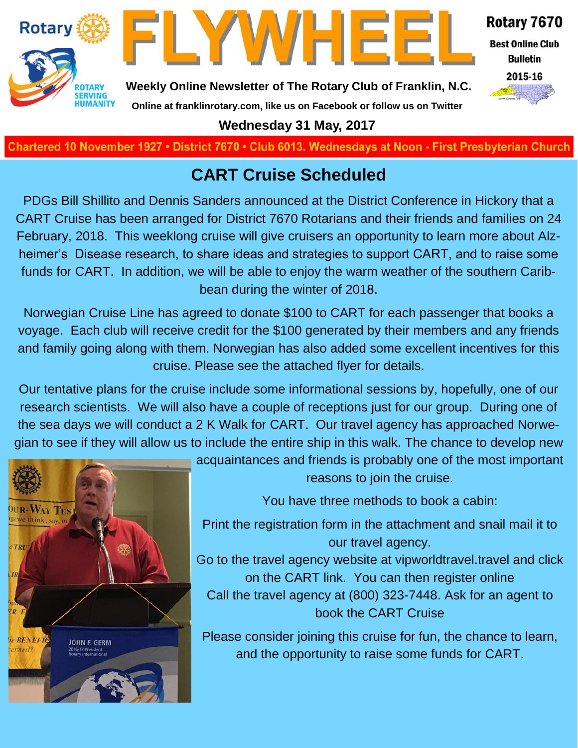



Rotary 7670

**Best Online Club Bulletin** 



**Weekly Online Newsletter of The Rotary Club of Franklin, N.C.**

## **Online at franklinrotary.com, like us on Facebook or follow us on Twitter**

**Wednesday 31 May, 2017**

Chartered 10 November 1927 • District 7670 • Club 6013. Wednesdays at Noon - First Presbyterian Church

### **CART Cruise Scheduled**

PDGs Bill Shillito and Dennis Sanders announced at the District Conference in Hickory that a CART Cruise has been arranged for District 7670 Rotarians and their friends and families on 24 February, 2018. This weeklong cruise will give cruisers an opportunity to learn more about Alzheimer's Disease research, to share ideas and strategies to support CART, and to raise some funds for CART. In addition, we will be able to enjoy the warm weather of the southern Caribbean during the winter of 2018.

Norwegian Cruise Line has agreed to donate \$100 to CART for each passenger that books a voyage. Each club will receive credit for the \$100 generated by their members and any friends and family going along with them. Norwegian has also added some excellent incentives for this cruise. Please see the attached flyer for details.

Our tentative plans for the cruise include some informational sessions by, hopefully, one of our research scientists. We will also have a couple of receptions just for our group. During one of the sea days we will conduct a 2 K Walk for CART. Our travel agency has approached Norwegian to see if they will allow us to include the entire ship in this walk. The chance to develop new



acquaintances and friends is probably one of the most important reasons to join the cruise.

You have three methods to book a cabin:

Print the registration form in the attachment and snail mail it to our travel agency.

Go to the travel agency website at vipworldtravel.travel and click on the CART link. You can then register online Call the travel agency at (800) 323-7448. Ask for an agent to book the CART Cruise

Please consider joining this cruise for fun, the chance to learn, and the opportunity to raise some funds for CART.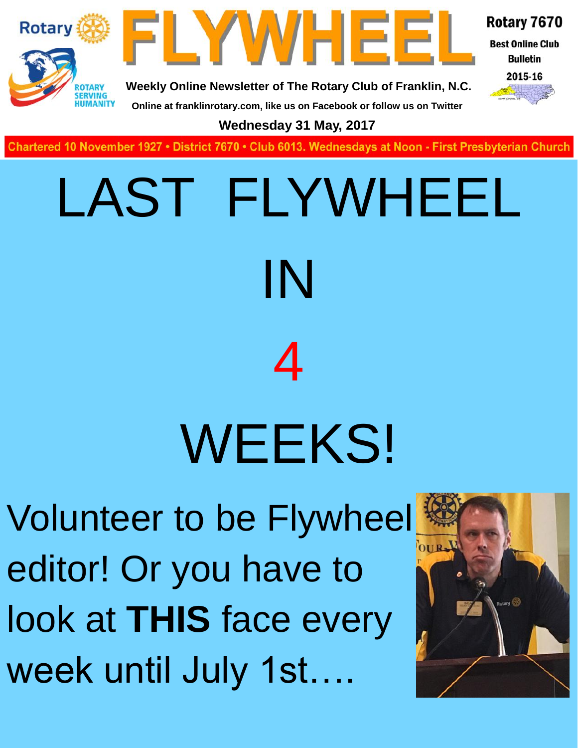



Rotary 7670 **Best Online Club** 

> **Bulletin** 2015-16



**Weekly Online Newsletter of The Rotary Club of Franklin, N.C.**

**Online at franklinrotary.com, like us on Facebook or follow us on Twitter Wednesday 31 May, 2017**

**Charted November 29, 1927 • District 7670 • Club 6013 Wednesdays at Noon - First Presbyterian Church**

# LAST FLYWHEEL IN 4 WEEKS!

Volunteer to be Flywheel editor! Or you have to look at **THIS** face every week until July 1st….